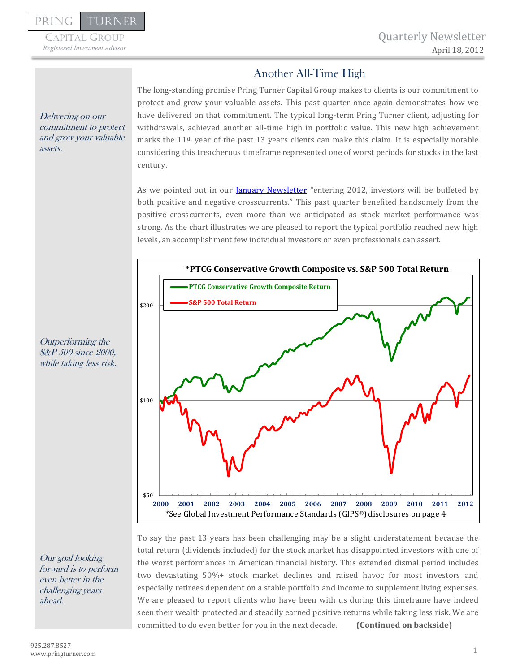Capital Group

January 23, 2012

# Another All-Time High

The long-standing promise Pring Turner Capital Group makes to clients is our commitment to protect and grow your valuable assets. This past quarter once again demonstrates how we have delivered on that commitment. The typical long-term Pring Turner client, adjusting for withdrawals, achieved another all-time high in portfolio value. This new high achievement marks the 11th year of the past 13 years clients can make this claim. It is especially notable considering this treacherous timeframe represented one of worst periods for stocks in the last century.

As we pointed out in our **January Newsletter** "entering 2012, investors will be buffeted by both positive and negative crosscurrents." This past quarter benefited handsomely from the positive crosscurrents, even more than we anticipated as stock market performance was strong. As the chart illustrates we are pleased to report the typical portfolio reached new high levels, an accomplishment few individual investors or even professionals can assert.



To say the past 13 years has been challenging may be a slight understatement because the total return (dividends included) for the stock market has disappointed investors with one of the worst performances in American financial history. This extended dismal period includes two devastating 50%+ stock market declines and raised havoc for most investors and especially retirees dependent on a stable portfolio and income to supplement living expenses. We are pleased to report clients who have been with us during this timeframe have indeed seen their wealth protected and steadily earned positive returns while taking less risk. We are committed to do even better for you in the next decade. **(Continued on backside)**

Delivering on our commitment to protect and grow your valuable assets.

Outperforming the S&P 500 since 2000, while taking less risk.

Our goal looking forward is to perform even better in the challenging years ahead.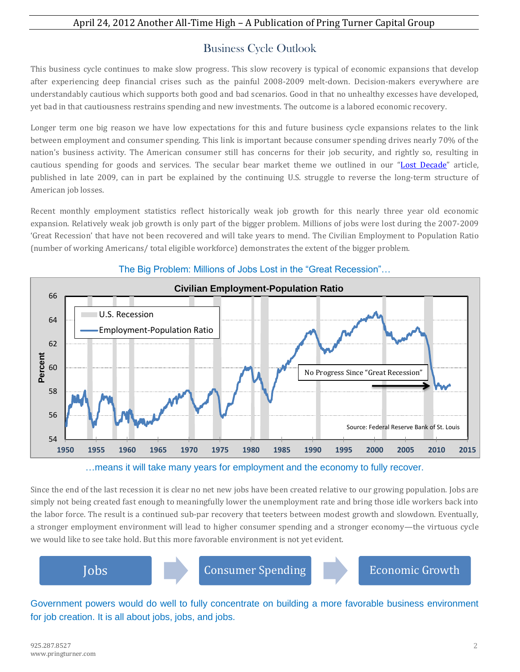## April 24, 2012 Another All-Time High – A Publication of Pring Turner Capital Group

# Business Cycle Outlook

This business cycle continues to make slow progress. This slow recovery is typical of economic expansions that develop after experiencing deep financial crises such as the painful 2008-2009 melt-down. Decision-makers everywhere are understandably cautious which supports both good and bad scenarios. Good in that no unhealthy excesses have developed, yet bad in that cautiousness restrains spending and new investments. The outcome is a labored economic recovery.

Longer term one big reason we have low expectations for this and future business cycle expansions relates to the link between employment and consumer spending. This link is important because consumer spending drives nearly 70% of the nation's business activity. The American consumer still has concerns for their job security, and rightly so, resulting in cautious spending for goods and services. The secular bear market theme we outlined in our "[Lost Decade](http://pringturner.com/newsletters/AreYouPreparedPTCG.pdf)" article, published in late 2009, can in part be explained by the continuing U.S. struggle to reverse the long-term structure of American job losses.

Recent monthly employment statistics reflect historically weak job growth for this nearly three year old economic expansion. Relatively weak job growth is only part of the bigger problem. Millions of jobs were lost during the 2007-2009 'Great Recession' that have not been recovered and will take years to mend. The Civilian Employment to Population Ratio (number of working Americans/ total eligible workforce) demonstrates the extent of the bigger problem.



### The Big Problem: Millions of Jobs Lost in the "Great Recession"…

…means it will take many years for employment and the economy to fully recover.

Since the end of the last recession it is clear no net new jobs have been created relative to our growing population. Jobs are simply not being created fast enough to meaningfully lower the unemployment rate and bring those idle workers back into the labor force. The result is a continued sub-par recovery that teeters between modest growth and slowdown. Eventually, a stronger employment environment will lead to higher consumer spending and a stronger economy—the virtuous cycle we would like to see take hold. But this more favorable environment is not yet evident.



Government powers would do well to fully concentrate on building a more favorable business environment for job creation. It is all about jobs, jobs, and jobs.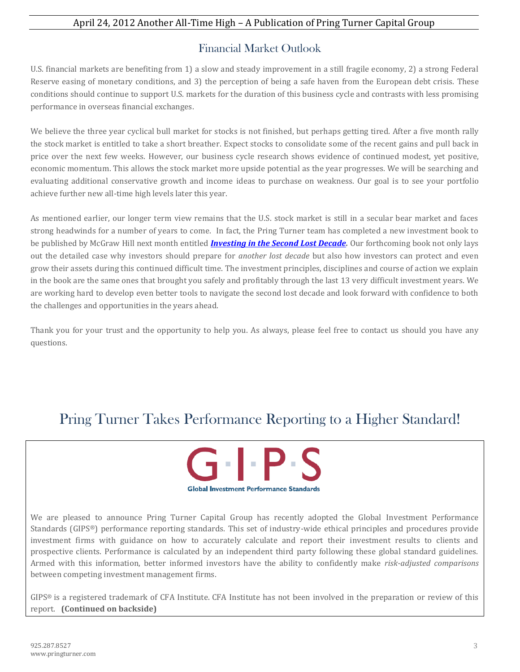## April 24, 2012 Another All-Time High – A Publication of Pring Turner Capital Group

# Financial Market Outlook

U.S. financial markets are benefiting from 1) a slow and steady improvement in a still fragile economy, 2) a strong Federal Reserve easing of monetary conditions, and 3) the perception of being a safe haven from the European debt crisis. These conditions should continue to support U.S. markets for the duration of this business cycle and contrasts with less promising performance in overseas financial exchanges.

We believe the three year cyclical bull market for stocks is not finished, but perhaps getting tired. After a five month rally the stock market is entitled to take a short breather. Expect stocks to consolidate some of the recent gains and pull back in price over the next few weeks. However, our business cycle research shows evidence of continued modest, yet positive, economic momentum. This allows the stock market more upside potential as the year progresses. We will be searching and evaluating additional conservative growth and income ideas to purchase on weakness. Our goal is to see your portfolio achieve further new all-time high levels later this year.

As mentioned earlier, our longer term view remains that the U.S. stock market is still in a secular bear market and faces strong headwinds for a number of years to come. In fact, the Pring Turner team has completed a new investment book to be published by McGraw Hill next month entitled *[Investing in the Second Lost Decade.](http://www.amazon.com/Investing-Second-Lost-Decade-Survival/dp/0071797440/ref=sr_1_1?ie=UTF8&qid=1335288364&sr=8-1)* Our forthcoming book not only lays out the detailed case why investors should prepare for *another lost decade* but also how investors can protect and even grow their assets during this continued difficult time. The investment principles, disciplines and course of action we explain in the book are the same ones that brought you safely and profitably through the last 13 very difficult investment years. We are working hard to develop even better tools to navigate the second lost decade and look forward with confidence to both the challenges and opportunities in the years ahead.

Thank you for your trust and the opportunity to help you. As always, please feel free to contact us should you have any questions.

# Pring Turner Takes Performance Reporting to a Higher Standard!



We are pleased to announce Pring Turner Capital Group has recently adopted the Global Investment Performance Standards (GIPS®) performance reporting standards. This set of industry-wide ethical principles and procedures provide investment firms with guidance on how to accurately calculate and report their investment results to clients and prospective clients. Performance is calculated by an independent third party following these global standard guidelines. Armed with this information, better informed investors have the ability to confidently make *risk-adjusted comparisons* between competing investment management firms.

GIPS® is a registered trademark of CFA Institute. CFA Institute has not been involved in the preparation or review of this report. **(Continued on backside)**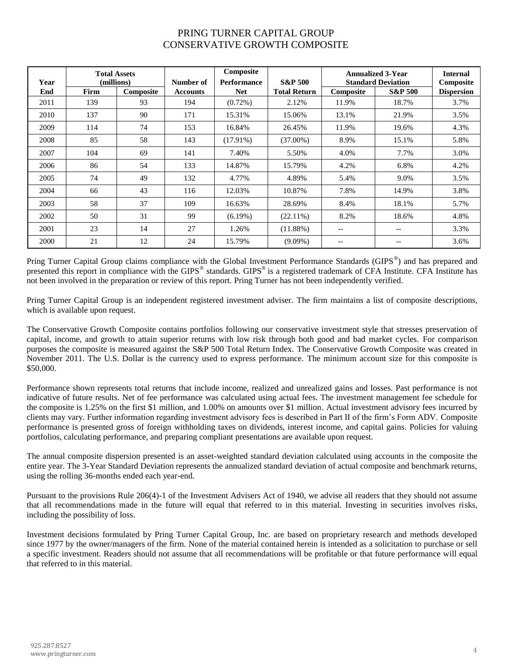#### PRING TURNER CAPITAL GROUP CONSERVATIVE GROWTH COMPOSITE

| Year | <b>Total Assets</b><br>(millions) |           | Number of       | Composite<br><b>Performance</b> | <b>S&amp;P 500</b>  | <b>Annualized 3-Year</b><br><b>Standard Deviation</b> |                          | <b>Internal</b><br>Composite |
|------|-----------------------------------|-----------|-----------------|---------------------------------|---------------------|-------------------------------------------------------|--------------------------|------------------------------|
| End  | Firm                              | Composite | <b>Accounts</b> | <b>Net</b>                      | <b>Total Return</b> | Composite                                             | <b>S&amp;P 500</b>       | <b>Dispersion</b>            |
| 2011 | 139                               | 93        | 194             | $(0.72\%)$                      | 2.12%               | 11.9%                                                 | 18.7%                    | 3.7%                         |
| 2010 | 137                               | 90        | 171             | 15.31%                          | 15.06%              | 13.1%                                                 | 21.9%                    | 3.5%                         |
| 2009 | 114                               | 74        | 153             | 16.84%                          | 26.45%              | 11.9%                                                 | 19.6%                    | 4.3%                         |
| 2008 | 85                                | 58        | 143             | $(17.91\%)$                     | $(37.00\%)$         | 8.9%                                                  | 15.1%                    | 5.8%                         |
| 2007 | 104                               | 69        | 141             | 7.40%                           | 5.50%               | 4.0%                                                  | 7.7%                     | 3.0%                         |
| 2006 | 86                                | 54        | 133             | 14.87%                          | 15.79%              | 4.2%                                                  | 6.8%                     | 4.2%                         |
| 2005 | 74                                | 49        | 132             | 4.77%                           | 4.89%               | 5.4%                                                  | 9.0%                     | 3.5%                         |
| 2004 | 66                                | 43        | 116             | 12.03%                          | 10.87%              | 7.8%                                                  | 14.9%                    | 3.8%                         |
| 2003 | 58                                | 37        | 109             | 16.63%                          | 28.69%              | 8.4%                                                  | 18.1%                    | 5.7%                         |
| 2002 | 50                                | 31        | 99              | $(6.19\%)$                      | $(22.11\%)$         | 8.2%                                                  | 18.6%                    | 4.8%                         |
| 2001 | 23                                | 14        | 27              | 1.26%                           | $(11.88\%)$         | --                                                    | $\overline{\phantom{m}}$ | 3.3%                         |
| 2000 | 21                                | 12        | 24              | 15.79%                          | $(9.09\%)$          | $-$                                                   | --                       | 3.6%                         |

Pring Turner Capital Group claims compliance with the Global Investment Performance Standards (GIPS<sup>®</sup>) and has prepared and presented this report in compliance with the GIPS® standards. GIPS® is a registered trademark of CFA Institute. CFA Institute has not been involved in the preparation or review of this report. Pring Turner has not been independently verified.

Pring Turner Capital Group is an independent registered investment adviser. The firm maintains a list of composite descriptions, which is available upon request.

The Conservative Growth Composite contains portfolios following our conservative investment style that stresses preservation of capital, income, and growth to attain superior returns with low risk through both good and bad market cycles. For comparison purposes the composite is measured against the S&P 500 Total Return Index. The Conservative Growth Composite was created in November 2011. The U.S. Dollar is the currency used to express performance. The minimum account size for this composite is \$50,000.

Performance shown represents total returns that include income, realized and unrealized gains and losses. Past performance is not indicative of future results. Net of fee performance was calculated using actual fees. The investment management fee schedule for the composite is 1.25% on the first \$1 million, and 1.00% on amounts over \$1 million. Actual investment advisory fees incurred by clients may vary. Further information regarding investment advisory fees is described in Part II of the firm's Form ADV. Composite performance is presented gross of foreign withholding taxes on dividends, interest income, and capital gains. Policies for valuing portfolios, calculating performance, and preparing compliant presentations are available upon request.

The annual composite dispersion presented is an asset-weighted standard deviation calculated using accounts in the composite the entire year. The 3-Year Standard Deviation represents the annualized standard deviation of actual composite and benchmark returns, using the rolling 36-months ended each year-end.

Pursuant to the provisions Rule 206(4)-1 of the Investment Advisers Act of 1940, we advise all readers that they should not assume that all recommendations made in the future will equal that referred to in this material. Investing in securities involves risks, including the possibility of loss.

Investment decisions formulated by Pring Turner Capital Group, Inc. are based on proprietary research and methods developed since 1977 by the owner/managers of the firm. None of the material contained herein is intended as a solicitation to purchase or sell a specific investment. Readers should not assume that all recommendations will be profitable or that future performance will equal that referred to in this material.